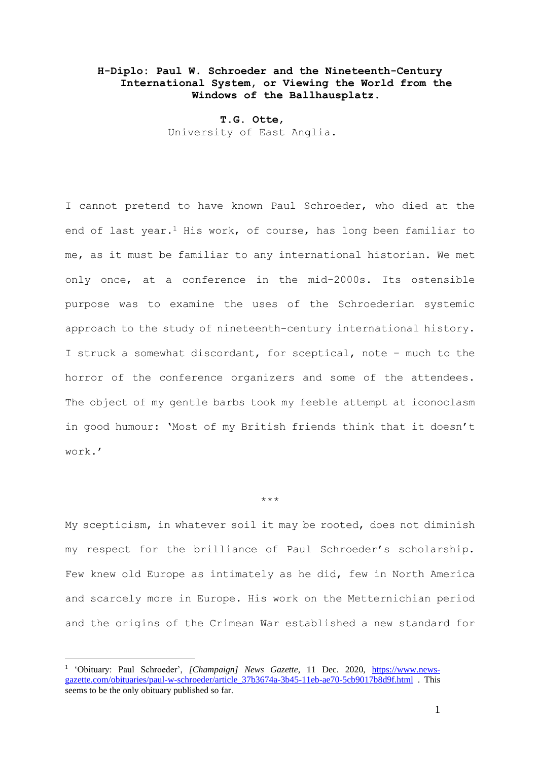## **H-Diplo: Paul W. Schroeder and the Nineteenth-Century International System, or Viewing the World from the Windows of the Ballhausplatz.**

**T.G. Otte**, University of East Anglia.

I cannot pretend to have known Paul Schroeder, who died at the end of last year.<sup>1</sup> His work, of course, has long been familiar to me, as it must be familiar to any international historian. We met only once, at a conference in the mid-2000s. Its ostensible purpose was to examine the uses of the Schroederian systemic approach to the study of nineteenth-century international history. I struck a somewhat discordant, for sceptical, note – much to the horror of the conference organizers and some of the attendees. The object of my gentle barbs took my feeble attempt at iconoclasm in good humour: 'Most of my British friends think that it doesn't work.'

## \*\*\*

My scepticism, in whatever soil it may be rooted, does not diminish my respect for the brilliance of Paul Schroeder's scholarship. Few knew old Europe as intimately as he did, few in North America and scarcely more in Europe. His work on the Metternichian period and the origins of the Crimean War established a new standard for

<sup>&</sup>lt;sup>1</sup> 'Obituary: Paul Schroeder', [Champaign] News Gazette, 11 Dec. 2020, [https://www.news](https://www.news-gazette.com/obituaries/paul-w-schroeder/article_37b3674a-3b45-11eb-ae70-5cb9017b8d9f.html)[gazette.com/obituaries/paul-w-schroeder/article\\_37b3674a-3b45-11eb-ae70-5cb9017b8d9f.html](https://www.news-gazette.com/obituaries/paul-w-schroeder/article_37b3674a-3b45-11eb-ae70-5cb9017b8d9f.html) . This seems to be the only obituary published so far.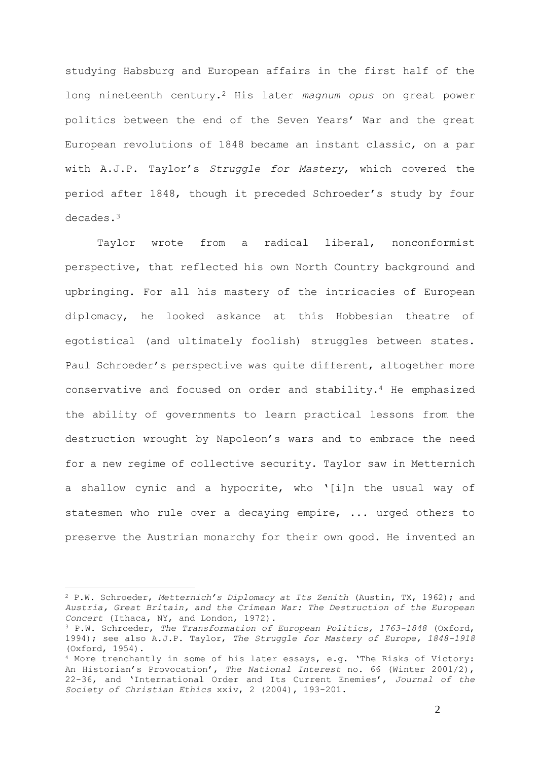studying Habsburg and European affairs in the first half of the long nineteenth century.<sup>2</sup> His later *magnum opus* on great power politics between the end of the Seven Years' War and the great European revolutions of 1848 became an instant classic, on a par with A.J.P. Taylor's *Struggle for Mastery*, which covered the period after 1848, though it preceded Schroeder's study by four decades.<sup>3</sup>

Taylor wrote from a radical liberal, nonconformist perspective, that reflected his own North Country background and upbringing. For all his mastery of the intricacies of European diplomacy, he looked askance at this Hobbesian theatre of egotistical (and ultimately foolish) struggles between states. Paul Schroeder's perspective was quite different, altogether more conservative and focused on order and stability.<sup>4</sup> He emphasized the ability of governments to learn practical lessons from the destruction wrought by Napoleon's wars and to embrace the need for a new regime of collective security. Taylor saw in Metternich a shallow cynic and a hypocrite, who '[i]n the usual way of statesmen who rule over a decaying empire, ... urged others to preserve the Austrian monarchy for their own good. He invented an

<sup>2</sup> P.W. Schroeder, *Metternich's Diplomacy at Its Zenith* (Austin, TX, 1962); and *Austria, Great Britain, and the Crimean War: The Destruction of the European Concert* (Ithaca, NY, and London, 1972).

<sup>3</sup> P.W. Schroeder, *The Transformation of European Politics, 1763-1848* (Oxford, 1994); see also A.J.P. Taylor, *The Struggle for Mastery of Europe, 1848-1918*  (Oxford, 1954).

<sup>4</sup> More trenchantly in some of his later essays, e.g. 'The Risks of Victory: An Historian's Provocation', *The National Interest* no. 66 (Winter 2001/2), 22-36, and 'International Order and Its Current Enemies', *Journal of the Society of Christian Ethics* xxiv, 2 (2004), 193-201.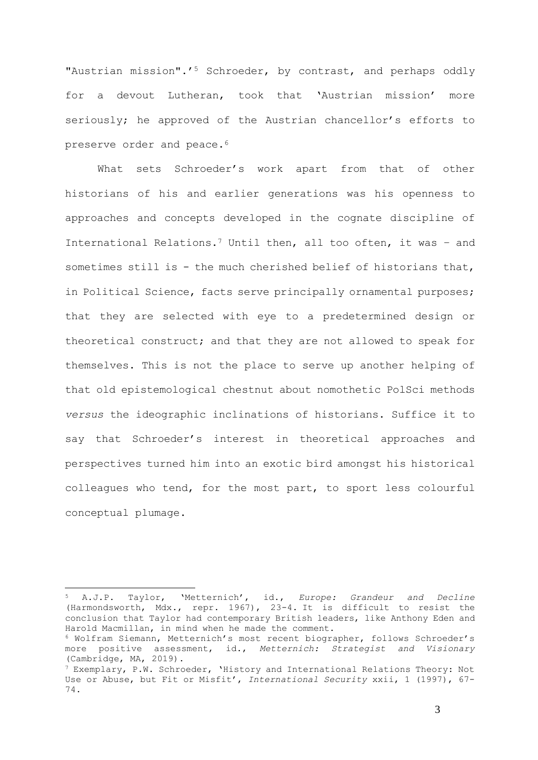"Austrian mission".'<sup>5</sup> Schroeder, by contrast, and perhaps oddly for a devout Lutheran, took that 'Austrian mission' more seriously; he approved of the Austrian chancellor's efforts to preserve order and peace.<sup>6</sup>

What sets Schroeder's work apart from that of other historians of his and earlier generations was his openness to approaches and concepts developed in the cognate discipline of International Relations.<sup>7</sup> Until then, all too often, it was – and sometimes still is - the much cherished belief of historians that, in Political Science, facts serve principally ornamental purposes; that they are selected with eye to a predetermined design or theoretical construct; and that they are not allowed to speak for themselves. This is not the place to serve up another helping of that old epistemological chestnut about nomothetic PolSci methods *versus* the ideographic inclinations of historians. Suffice it to say that Schroeder's interest in theoretical approaches and perspectives turned him into an exotic bird amongst his historical colleagues who tend, for the most part, to sport less colourful conceptual plumage.

<sup>5</sup> A.J.P. Taylor, 'Metternich', id., *Europe: Grandeur and Decline*  (Harmondsworth, Mdx., repr. 1967), 23-4. It is difficult to resist the conclusion that Taylor had contemporary British leaders, like Anthony Eden and Harold Macmillan, in mind when he made the comment.

<sup>6</sup> Wolfram Siemann, Metternich's most recent biographer, follows Schroeder's more positive assessment, id., *Metternich: Strategist and Visionary*  (Cambridge, MA, 2019).

 $7$  Exemplary, P.W. Schroeder, 'History and International Relations Theory: Not Use or Abuse, but Fit or Misfit', *International Security* xxii, 1 (1997), 67- 74.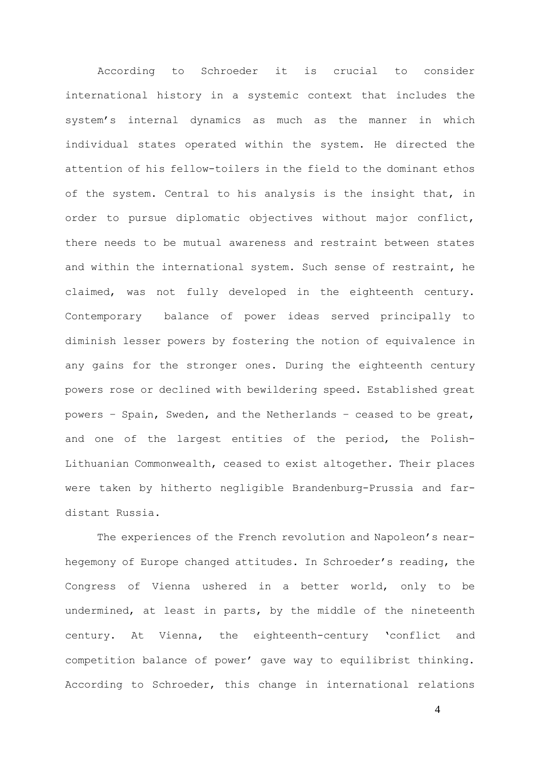According to Schroeder it is crucial to consider international history in a systemic context that includes the system's internal dynamics as much as the manner in which individual states operated within the system. He directed the attention of his fellow-toilers in the field to the dominant ethos of the system. Central to his analysis is the insight that, in order to pursue diplomatic objectives without major conflict, there needs to be mutual awareness and restraint between states and within the international system. Such sense of restraint, he claimed, was not fully developed in the eighteenth century. Contemporary balance of power ideas served principally to diminish lesser powers by fostering the notion of equivalence in any gains for the stronger ones. During the eighteenth century powers rose or declined with bewildering speed. Established great powers – Spain, Sweden, and the Netherlands – ceased to be great, and one of the largest entities of the period, the Polish-Lithuanian Commonwealth, ceased to exist altogether. Their places were taken by hitherto negligible Brandenburg-Prussia and fardistant Russia.

The experiences of the French revolution and Napoleon's nearhegemony of Europe changed attitudes. In Schroeder's reading, the Congress of Vienna ushered in a better world, only to be undermined, at least in parts, by the middle of the nineteenth century. At Vienna, the eighteenth-century 'conflict and competition balance of power' gave way to equilibrist thinking. According to Schroeder, this change in international relations

4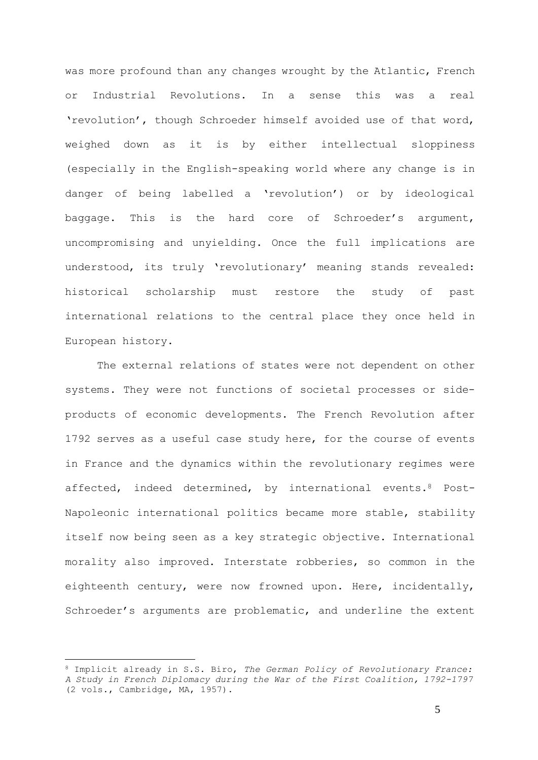was more profound than any changes wrought by the Atlantic, French or Industrial Revolutions. In a sense this was a real 'revolution', though Schroeder himself avoided use of that word, weighed down as it is by either intellectual sloppiness (especially in the English-speaking world where any change is in danger of being labelled a 'revolution') or by ideological baggage. This is the hard core of Schroeder's argument, uncompromising and unyielding. Once the full implications are understood, its truly 'revolutionary' meaning stands revealed: historical scholarship must restore the study of past international relations to the central place they once held in European history.

The external relations of states were not dependent on other systems. They were not functions of societal processes or sideproducts of economic developments. The French Revolution after 1792 serves as a useful case study here, for the course of events in France and the dynamics within the revolutionary regimes were affected, indeed determined, by international events. <sup>8</sup> Post-Napoleonic international politics became more stable, stability itself now being seen as a key strategic objective. International morality also improved. Interstate robberies, so common in the eighteenth century, were now frowned upon. Here, incidentally, Schroeder's arguments are problematic, and underline the extent

<sup>8</sup> Implicit already in S.S. Biro, *The German Policy of Revolutionary France: A Study in French Diplomacy during the War of the First Coalition, 1792-1797* (2 vols., Cambridge, MA, 1957).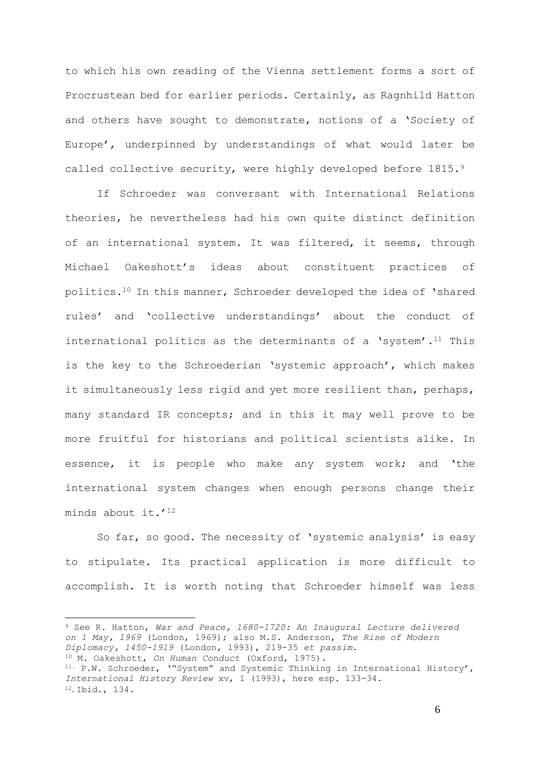to which his own reading of the Vienna settlement forms a sort of Procrustean bed for earlier periods. Certainly, as Ragnhild Hatton and others have sought to demonstrate, notions of a 'Society of Europe', underpinned by understandings of what would later be called collective security, were highly developed before 1815.9

If Schroeder was conversant with International Relations theories, he nevertheless had his own quite distinct definition of an international system. It was filtered, it seems, through Michael Oakeshott's ideas about constituent practices of politics.<sup>10</sup> In this manner, Schroeder developed the idea of 'shared rules' and 'collective understandings' about the conduct of international politics as the determinants of a 'system'.<sup>11</sup> This is the key to the Schroederian 'systemic approach', which makes it simultaneously less rigid and yet more resilient than, perhaps, many standard IR concepts; and in this it may well prove to be more fruitful for historians and political scientists alike. In essence, it is people who make any system work; and 'the international system changes when enough persons change their minds about it.'<sup>12</sup>

So far, so good. The necessity of 'systemic analysis' is easy to stipulate. Its practical application is more difficult to accomplish. It is worth noting that Schroeder himself was less

<sup>9</sup> See R. Hatton, *War and Peace, 1680-1720: An Inaugural Lecture delivered on 1 May, 1969* (London, 1969); also M.S. Anderson, *The Rise of Modern Diplomacy, 1450-1919* (London, 1993), 219-35 *et passim*. <sup>10</sup> M. Oakeshott, *On Human Conduct* (Oxford, 1975). 11. P.W. Schroeder, '"System" and Systemic Thinking in International History', *International History Review* xv, 1 (1993), here esp. 133-34. <sup>12</sup>. Ibid., 134.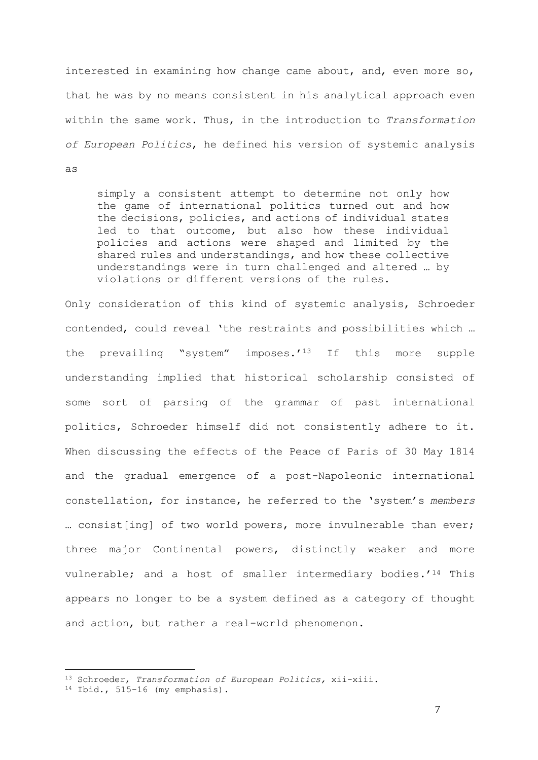interested in examining how change came about, and, even more so, that he was by no means consistent in his analytical approach even within the same work. Thus, in the introduction to *Transformation of European Politics*, he defined his version of systemic analysis as

simply a consistent attempt to determine not only how the game of international politics turned out and how the decisions, policies, and actions of individual states led to that outcome, but also how these individual policies and actions were shaped and limited by the shared rules and understandings, and how these collective understandings were in turn challenged and altered … by violations or different versions of the rules.

Only consideration of this kind of systemic analysis, Schroeder contended, could reveal 'the restraints and possibilities which … the prevailing "system" imposes.'<sup>13</sup> If this more supple understanding implied that historical scholarship consisted of some sort of parsing of the grammar of past international politics, Schroeder himself did not consistently adhere to it. When discussing the effects of the Peace of Paris of 30 May 1814 and the gradual emergence of a post-Napoleonic international constellation, for instance, he referred to the 'system's *members* … consist[ing] of two world powers, more invulnerable than ever; three major Continental powers, distinctly weaker and more vulnerable; and a host of smaller intermediary bodies.'<sup>14</sup> This appears no longer to be a system defined as a category of thought and action, but rather a real-world phenomenon.

7

<sup>13</sup> Schroeder, *Transformation of European Politics,* xii-xiii.

 $14$  Ibid., 515-16 (my emphasis).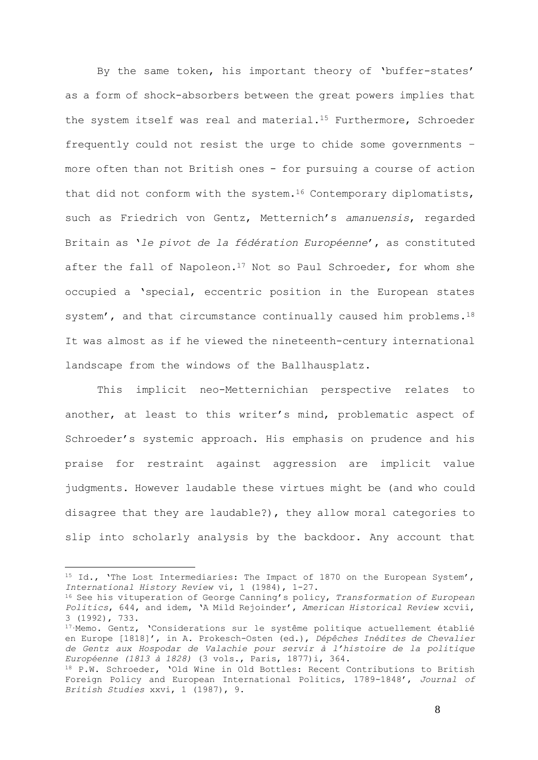By the same token, his important theory of 'buffer-states' as a form of shock-absorbers between the great powers implies that the system itself was real and material.<sup>15</sup> Furthermore, Schroeder frequently could not resist the urge to chide some governments – more often than not British ones - for pursuing a course of action that did not conform with the system.<sup>16</sup> Contemporary diplomatists, such as Friedrich von Gentz, Metternich's *amanuensis*, regarded Britain as '*le pivot de la fédération Européenne*', as constituted after the fall of Napoleon.<sup>17</sup> Not so Paul Schroeder, for whom she occupied a 'special, eccentric position in the European states system', and that circumstance continually caused him problems.<sup>18</sup> It was almost as if he viewed the nineteenth-century international landscape from the windows of the Ballhausplatz.

This implicit neo-Metternichian perspective relates to another, at least to this writer's mind, problematic aspect of Schroeder's systemic approach. His emphasis on prudence and his praise for restraint against aggression are implicit value judgments. However laudable these virtues might be (and who could disagree that they are laudable?), they allow moral categories to slip into scholarly analysis by the backdoor. Any account that

<sup>&</sup>lt;sup>15</sup> Id., 'The Lost Intermediaries: The Impact of 1870 on the European System', *International History Review* vi, 1 (1984), 1-27.

<sup>16</sup> See his vituperation of George Canning's policy, *Transformation of European Politics*, 644, and idem, 'A Mild Rejoinder', *American Historical Review* xcvii, 3 (1992), 733.

<sup>17.</sup>Memo. Gentz, 'Considerations sur le systême politique actuellement établié en Europe [1818]', in A. Prokesch-Osten (ed.), *Dépêches Inédites de Chevalier de Gentz aux Hospodar de Valachie pour servir à l'histoire de la politique Européenne (1813 à 1828)* (3 vols., Paris, 1877)i, 364.

<sup>18</sup> P.W. Schroeder, 'Old Wine in Old Bottles: Recent Contributions to British Foreign Policy and European International Politics, 1789-1848', *Journal of British Studies* xxvi, 1 (1987), 9.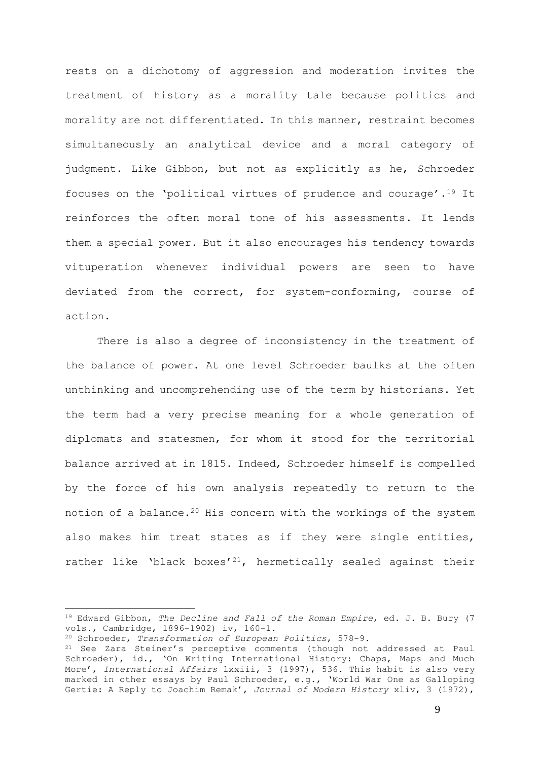rests on a dichotomy of aggression and moderation invites the treatment of history as a morality tale because politics and morality are not differentiated. In this manner, restraint becomes simultaneously an analytical device and a moral category of judgment. Like Gibbon, but not as explicitly as he, Schroeder focuses on the 'political virtues of prudence and courage'.<sup>19</sup> It reinforces the often moral tone of his assessments. It lends them a special power. But it also encourages his tendency towards vituperation whenever individual powers are seen to have deviated from the correct, for system-conforming, course of action.

There is also a degree of inconsistency in the treatment of the balance of power. At one level Schroeder baulks at the often unthinking and uncomprehending use of the term by historians. Yet the term had a very precise meaning for a whole generation of diplomats and statesmen, for whom it stood for the territorial balance arrived at in 1815. Indeed, Schroeder himself is compelled by the force of his own analysis repeatedly to return to the notion of a balance.<sup>20</sup> His concern with the workings of the system also makes him treat states as if they were single entities, rather like 'black boxes'<sup>21</sup>, hermetically sealed against their

<sup>19</sup> Edward Gibbon, *The Decline and Fall of the Roman Empire*, ed. J. B. Bury (7 vols., Cambridge, 1896-1902) iv, 160-1.

<sup>20</sup> Schroeder, *Transformation of European Politics*, 578-9.

<sup>21</sup> See Zara Steiner's perceptive comments (though not addressed at Paul Schroeder), id., 'On Writing International History: Chaps, Maps and Much More', *International Affairs* lxxiii, 3 (1997), 536. This habit is also very marked in other essays by Paul Schroeder, e.g., 'World War One as Galloping Gertie: A Reply to Joachim Remak', *Journal of Modern History* xliv, 3 (1972),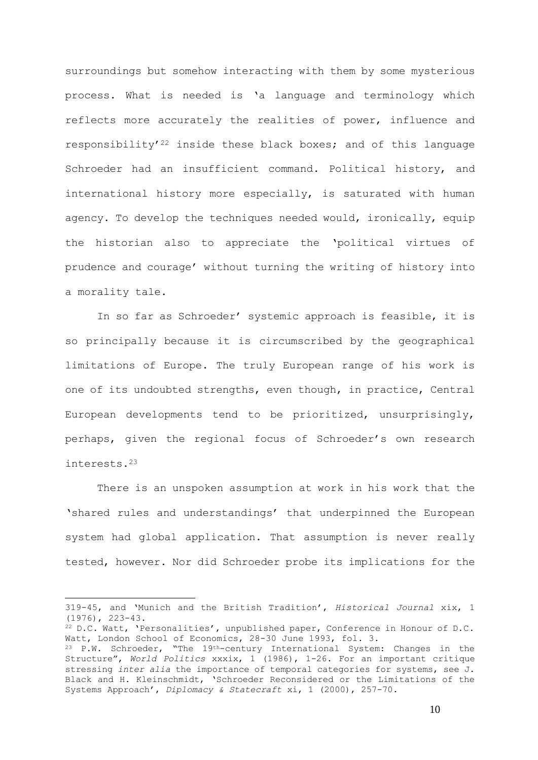surroundings but somehow interacting with them by some mysterious process. What is needed is 'a language and terminology which reflects more accurately the realities of power, influence and responsibility'<sup>22</sup> inside these black boxes; and of this language Schroeder had an insufficient command. Political history, and international history more especially, is saturated with human agency. To develop the techniques needed would, ironically, equip the historian also to appreciate the 'political virtues of prudence and courage' without turning the writing of history into a morality tale.

In so far as Schroeder' systemic approach is feasible, it is so principally because it is circumscribed by the geographical limitations of Europe. The truly European range of his work is one of its undoubted strengths, even though, in practice, Central European developments tend to be prioritized, unsurprisingly, perhaps, given the regional focus of Schroeder's own research interests.<sup>23</sup>

There is an unspoken assumption at work in his work that the 'shared rules and understandings' that underpinned the European system had global application. That assumption is never really tested, however. Nor did Schroeder probe its implications for the

<sup>319-</sup>45, and 'Munich and the British Tradition', *Historical Journal* xix, 1 (1976), 223-43.

<sup>22</sup> D.C. Watt, 'Personalities', unpublished paper, Conference in Honour of D.C. Watt, London School of Economics, 28-30 June 1993, fol. 3.

<sup>23</sup> P.W. Schroeder, "The 19th-century International System: Changes in the Structure", *World Politics* xxxix, 1 (1986), 1-26. For an important critique stressing *inter alia* the importance of temporal categories for systems, see J. Black and H. Kleinschmidt, 'Schroeder Reconsidered or the Limitations of the Systems Approach', *Diplomacy & Statecraft* xi, 1 (2000), 257-70.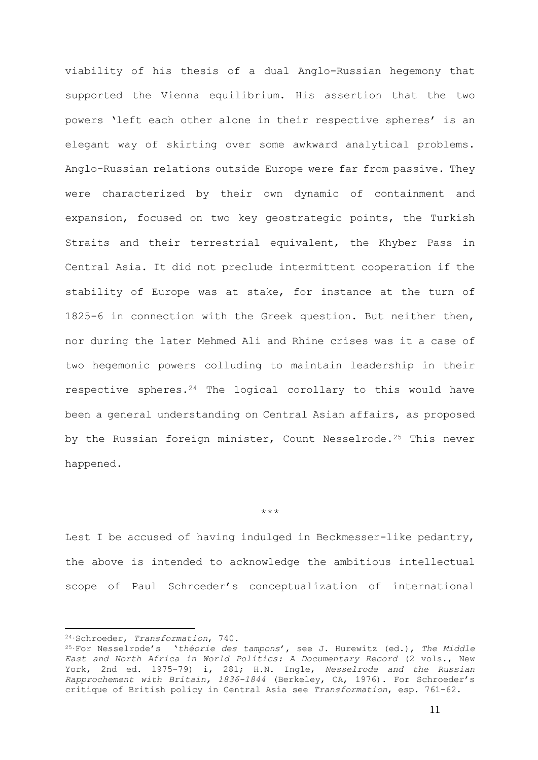viability of his thesis of a dual Anglo-Russian hegemony that supported the Vienna equilibrium. His assertion that the two powers 'left each other alone in their respective spheres' is an elegant way of skirting over some awkward analytical problems. Anglo-Russian relations outside Europe were far from passive. They were characterized by their own dynamic of containment and expansion, focused on two key geostrategic points, the Turkish Straits and their terrestrial equivalent, the Khyber Pass in Central Asia. It did not preclude intermittent cooperation if the stability of Europe was at stake, for instance at the turn of 1825-6 in connection with the Greek question. But neither then, nor during the later Mehmed Ali and Rhine crises was it a case of two hegemonic powers colluding to maintain leadership in their respective spheres.<sup>24</sup> The logical corollary to this would have been a general understanding on Central Asian affairs, as proposed by the Russian foreign minister, Count Nesselrode.<sup>25</sup> This never happened.

\*\*\*

Lest I be accused of having indulged in Beckmesser-like pedantry, the above is intended to acknowledge the ambitious intellectual scope of Paul Schroeder's conceptualization of international

<sup>24.</sup>Schroeder, *Transformation*, 740.

<sup>25.</sup>For Nesselrode's '*théorie des tampons*', see J. Hurewitz (ed.), *The Middle East and North Africa in World Politics: A Documentary Record* (2 vols., New York, 2nd ed. 1975-79) i, 281; H.N. Ingle, *Nesselrode and the Russian Rapprochement with Britain, 1836-1844* (Berkeley, CA, 1976). For Schroeder's critique of British policy in Central Asia see *Transformation*, esp. 761-62.